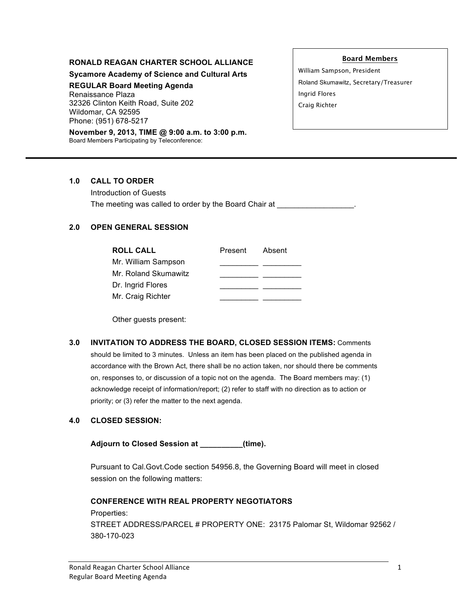#### **RONALD REAGAN CHARTER SCHOOL ALLIANCE**

**Sycamore Academy of Science and Cultural Arts**

**REGULAR Board Meeting Agenda**

Renaissance Plaza 32326 Clinton Keith Road, Suite 202 Wildomar, CA 92595 Phone: (951) 678-5217

**November 9, 2013, TIME @ 9:00 a.m. to 3:00 p.m.** Board Members Participating by Teleconference:

**Board Members**

William Sampson, President Roland Skumawitz, Secretary/Treasurer Ingrid Flores Craig Richter

## **1.0 CALL TO ORDER**

Introduction of Guests The meeting was called to order by the Board Chair at

# **2.0 OPEN GENERAL SESSION**

| <b>ROLL CALL</b>     | Present | Absent |
|----------------------|---------|--------|
| Mr. William Sampson  |         |        |
| Mr. Roland Skumawitz |         |        |
| Dr. Ingrid Flores    |         |        |
| Mr. Craig Richter    |         |        |

Other guests present:

**3.0 INVITATION TO ADDRESS THE BOARD, CLOSED SESSION ITEMS:** Comments should be limited to 3 minutes. Unless an item has been placed on the published agenda in accordance with the Brown Act, there shall be no action taken, nor should there be comments on, responses to, or discussion of a topic not on the agenda. The Board members may: (1) acknowledge receipt of information/report; (2) refer to staff with no direction as to action or priority; or (3) refer the matter to the next agenda.

# **4.0 CLOSED SESSION:**

**Adjourn to Closed Session at \_\_\_\_\_\_\_\_\_\_(time).**

Pursuant to Cal.Govt.Code section 54956.8, the Governing Board will meet in closed session on the following matters:

**CONFERENCE WITH REAL PROPERTY NEGOTIATORS** Properties: STREET ADDRESS/PARCEL # PROPERTY ONE: 23175 Palomar St, Wildomar 92562 / 380-170-023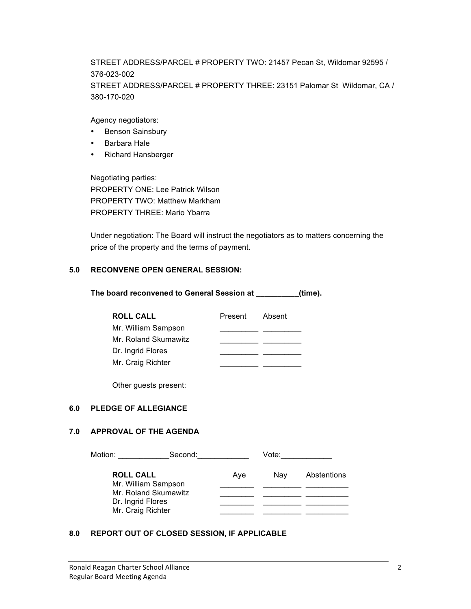STREET ADDRESS/PARCEL # PROPERTY TWO: 21457 Pecan St, Wildomar 92595 / 376-023-002 STREET ADDRESS/PARCEL # PROPERTY THREE: 23151 Palomar St Wildomar, CA / 380-170-020

Agency negotiators:

- Benson Sainsbury
- Barbara Hale
- Richard Hansberger

Negotiating parties: PROPERTY ONE: Lee Patrick Wilson PROPERTY TWO: Matthew Markham PROPERTY THREE: Mario Ybarra

Under negotiation: The Board will instruct the negotiators as to matters concerning the price of the property and the terms of payment.

## **5.0 RECONVENE OPEN GENERAL SESSION:**

**The board reconvened to General Session at \_\_\_\_\_\_\_\_\_\_(time).**

| <b>ROLL CALL</b>     | Present | Absent |
|----------------------|---------|--------|
| Mr. William Sampson  |         |        |
| Mr. Roland Skumawitz |         |        |
| Dr. Ingrid Flores    |         |        |
| Mr. Craig Richter    |         |        |

Other guests present:

# **6.0 PLEDGE OF ALLEGIANCE**

# **7.0 APPROVAL OF THE AGENDA**

| Motion:<br>Second: |                      | Vote: |     |             |
|--------------------|----------------------|-------|-----|-------------|
| <b>ROLL CALL</b>   | Mr. William Sampson  | Ave   | Nav | Abstentions |
|                    | Mr. Roland Skumawitz |       |     |             |
|                    | Dr. Ingrid Flores    |       |     |             |
|                    | Mr. Craig Richter    |       |     |             |

#### **8.0 REPORT OUT OF CLOSED SESSION, IF APPLICABLE**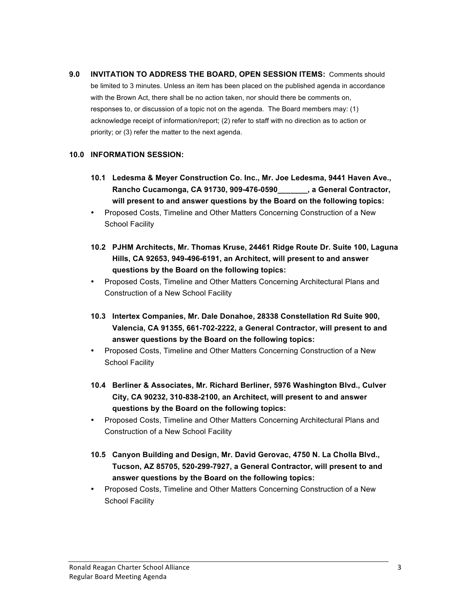**9.0 INVITATION TO ADDRESS THE BOARD, OPEN SESSION ITEMS:** Comments should be limited to 3 minutes. Unless an item has been placed on the published agenda in accordance with the Brown Act, there shall be no action taken, nor should there be comments on, responses to, or discussion of a topic not on the agenda. The Board members may: (1) acknowledge receipt of information/report; (2) refer to staff with no direction as to action or priority; or (3) refer the matter to the next agenda.

## **10.0 INFORMATION SESSION:**

- **10.1 Ledesma & Meyer Construction Co. Inc., Mr. Joe Ledesma, 9441 Haven Ave., Rancho Cucamonga, CA 91730, 909-476-0590\_\_\_\_\_\_\_, a General Contractor, will present to and answer questions by the Board on the following topics:**
- Proposed Costs, Timeline and Other Matters Concerning Construction of a New School Facility
- **10.2 PJHM Architects, Mr. Thomas Kruse, 24461 Ridge Route Dr. Suite 100, Laguna Hills, CA 92653, 949-496-6191, an Architect, will present to and answer questions by the Board on the following topics:**
- Proposed Costs, Timeline and Other Matters Concerning Architectural Plans and Construction of a New School Facility
- **10.3 Intertex Companies, Mr. Dale Donahoe, 28338 Constellation Rd Suite 900, Valencia, CA 91355, 661-702-2222, a General Contractor, will present to and answer questions by the Board on the following topics:**
- Proposed Costs, Timeline and Other Matters Concerning Construction of a New School Facility
- **10.4 Berliner & Associates, Mr. Richard Berliner, 5976 Washington Blvd., Culver City, CA 90232, 310-838-2100, an Architect, will present to and answer questions by the Board on the following topics:**
- Proposed Costs, Timeline and Other Matters Concerning Architectural Plans and Construction of a New School Facility
- **10.5 Canyon Building and Design, Mr. David Gerovac, 4750 N. La Cholla Blvd., Tucson, AZ 85705, 520-299-7927, a General Contractor, will present to and answer questions by the Board on the following topics:**
- Proposed Costs, Timeline and Other Matters Concerning Construction of a New School Facility